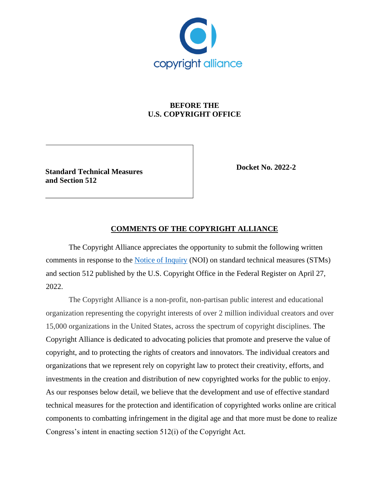

# **BEFORE THE U.S. COPYRIGHT OFFICE**

**Standard Technical Measures and Section 512**

**Docket No. 2022-2**

# **COMMENTS OF THE COPYRIGHT ALLIANCE**

The Copyright Alliance appreciates the opportunity to submit the following written comments in response to the [Notice of Inquiry](https://www.federalregister.gov/documents/2022/04/27/2022-08946/standard-technical-measures-and-section-512) (NOI) on standard technical measures (STMs) and section 512 published by the U.S. Copyright Office in the Federal Register on April 27, 2022.

The Copyright Alliance is a non-profit, non-partisan public interest and educational organization representing the copyright interests of over 2 million individual creators and over 15,000 organizations in the United States, across the spectrum of copyright disciplines. The Copyright Alliance is dedicated to advocating policies that promote and preserve the value of copyright, and to protecting the rights of creators and innovators. The individual creators and organizations that we represent rely on copyright law to protect their creativity, efforts, and investments in the creation and distribution of new copyrighted works for the public to enjoy. As our responses below detail, we believe that the development and use of effective standard technical measures for the protection and identification of copyrighted works online are critical components to combatting infringement in the digital age and that more must be done to realize Congress's intent in enacting section 512(i) of the Copyright Act.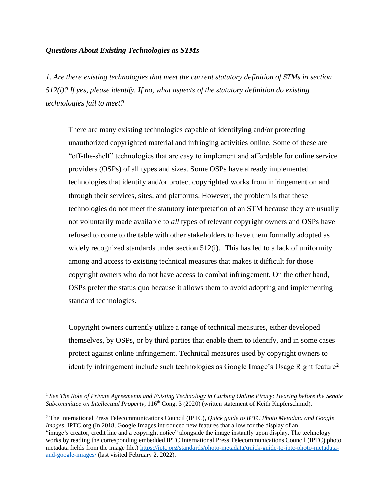### *Questions About Existing Technologies as STMs*

*1. Are there existing technologies that meet the current statutory definition of STMs in section 512(i)? If yes, please identify. If no, what aspects of the statutory definition do existing technologies fail to meet?*

There are many existing technologies capable of identifying and/or protecting unauthorized copyrighted material and infringing activities online. Some of these are "off-the-shelf" technologies that are easy to implement and affordable for online service providers (OSPs) of all types and sizes. Some OSPs have already implemented technologies that identify and/or protect copyrighted works from infringement on and through their services, sites, and platforms. However, the problem is that these technologies do not meet the statutory interpretation of an STM because they are usually not voluntarily made available to *all* types of relevant copyright owners and OSPs have refused to come to the table with other stakeholders to have them formally adopted as widely recognized standards under section  $512(i)$ .<sup>1</sup> This has led to a lack of uniformity among and access to existing technical measures that makes it difficult for those copyright owners who do not have access to combat infringement. On the other hand, OSPs prefer the status quo because it allows them to avoid adopting and implementing standard technologies.

Copyright owners currently utilize a range of technical measures, either developed themselves, by OSPs, or by third parties that enable them to identify, and in some cases protect against online infringement. Technical measures used by copyright owners to identify infringement include such technologies as Google Image's Usage Right feature<sup>2</sup>

<sup>1</sup> *See The Role of Private Agreements and Existing Technology in Curbing Online Piracy: Hearing before the Senate Subcommittee on Intellectual Property*, 116<sup>th</sup> Cong. 3 (2020) (written statement of Keith Kupferschmid).

<sup>2</sup> The International Press Telecommunications Council (IPTC), *Quick guide to IPTC Photo Metadata and Google Images*, IPTC.org (In 2018, Google Images introduced new features that allow for the display of an "image's creator, credit line and a copyright notice" alongside the image instantly upon display. The technology works by reading the corresponding embedded IPTC International Press Telecommunications Council (IPTC) photo metadata fields from the image file.[\) https://iptc.org/standards/photo-metadata/quick-guide-to-iptc-photo-metadata](https://iptc.org/standards/photo-metadata/quick-guide-to-iptc-photo-metadata-and-google-images/)[and-google-images/](https://iptc.org/standards/photo-metadata/quick-guide-to-iptc-photo-metadata-and-google-images/) (last visited February 2, 2022).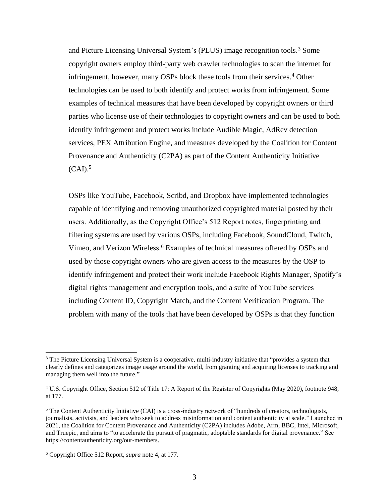and Picture Licensing Universal System's (PLUS) image recognition tools.<sup>3</sup> Some copyright owners employ third-party web crawler technologies to scan the internet for infringement, however, many OSPs block these tools from their services.<sup>4</sup> Other technologies can be used to both identify and protect works from infringement. Some examples of technical measures that have been developed by copyright owners or third parties who license use of their technologies to copyright owners and can be used to both identify infringement and protect works include Audible Magic, AdRev detection services, PEX Attribution Engine, and measures developed by the Coalition for Content Provenance and Authenticity (C2PA) as part of the Content Authenticity Initiative  $(CAI).$ <sup>5</sup>

OSPs like YouTube, Facebook, Scribd, and Dropbox have implemented technologies capable of identifying and removing unauthorized copyrighted material posted by their users. Additionally, as the Copyright Office's 512 Report notes, fingerprinting and filtering systems are used by various OSPs, including Facebook, SoundCloud, Twitch, Vimeo, and Verizon Wireless.<sup>6</sup> Examples of technical measures offered by OSPs and used by those copyright owners who are given access to the measures by the OSP to identify infringement and protect their work include Facebook Rights Manager, Spotify's digital rights management and encryption tools, and a suite of YouTube services including Content ID, Copyright Match, and the Content Verification Program. The problem with many of the tools that have been developed by OSPs is that they function

<sup>&</sup>lt;sup>3</sup> The Picture Licensing Universal System is a cooperative, multi-industry initiative that "provides a system that clearly defines and categorizes image usage around the world, from granting and acquiring licenses to tracking and managing them well into the future."

<sup>4</sup> U.S. Copyright Office, Section 512 of Title 17: A Report of the Register of Copyrights (May 2020), footnote 948, at 177.

<sup>&</sup>lt;sup>5</sup> The Content Authenticity Initiative (CAI) is a cross-industry network of "hundreds of creators, technologists, journalists, activists, and leaders who seek to address misinformation and content authenticity at scale." Launched in 2021, the Coalition for Content Provenance and Authenticity (C2PA) includes Adobe, Arm, BBC, Intel, Microsoft, and Truepic, and aims to "to accelerate the pursuit of pragmatic, adoptable standards for digital provenance." See https://contentauthenticity.org/our-members.

<sup>6</sup> Copyright Office 512 Report, *supra* note 4, at 177.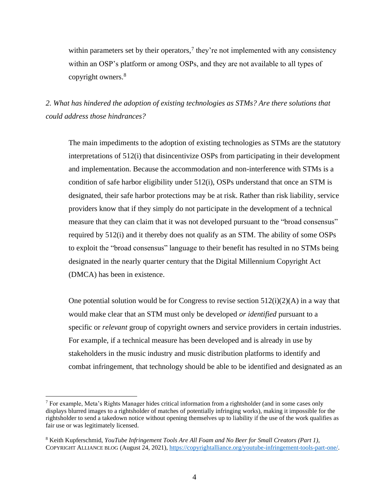within parameters set by their operators,<sup>7</sup> they're not implemented with any consistency within an OSP's platform or among OSPs, and they are not available to all types of copyright owners.<sup>8</sup>

*2. What has hindered the adoption of existing technologies as STMs? Are there solutions that could address those hindrances?*

The main impediments to the adoption of existing technologies as STMs are the statutory interpretations of 512(i) that disincentivize OSPs from participating in their development and implementation. Because the accommodation and non-interference with STMs is a condition of safe harbor eligibility under 512(i), OSPs understand that once an STM is designated, their safe harbor protections may be at risk. Rather than risk liability, service providers know that if they simply do not participate in the development of a technical measure that they can claim that it was not developed pursuant to the "broad consensus" required by 512(i) and it thereby does not qualify as an STM. The ability of some OSPs to exploit the "broad consensus" language to their benefit has resulted in no STMs being designated in the nearly quarter century that the Digital Millennium Copyright Act (DMCA) has been in existence.

One potential solution would be for Congress to revise section  $512(i)(2)(A)$  in a way that would make clear that an STM must only be developed *or identified* pursuant to a specific or *relevant* group of copyright owners and service providers in certain industries. For example, if a technical measure has been developed and is already in use by stakeholders in the music industry and music distribution platforms to identify and combat infringement, that technology should be able to be identified and designated as an

<sup>7</sup> For example, Meta's Rights Manager hides critical information from a rightsholder (and in some cases only displays blurred images to a rightsholder of matches of potentially infringing works), making it impossible for the rightsholder to send a takedown notice without opening themselves up to liability if the use of the work qualifies as fair use or was legitimately licensed.

<sup>8</sup> Keith Kupferschmid, *YouTube Infringement Tools Are All Foam and No Beer for Small Creators (Part 1)*, COPYRIGHT ALLIANCE BLOG (August 24, 2021), [https://copyrightalliance.org/youtube-infringement-tools-part-one/.](https://copyrightalliance.org/youtube-infringement-tools-part-one/)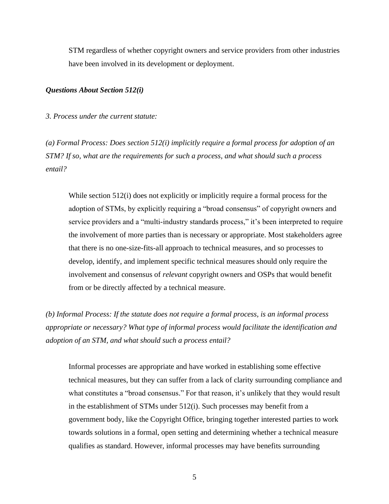STM regardless of whether copyright owners and service providers from other industries have been involved in its development or deployment.

#### *Questions About Section 512(i)*

*3. Process under the current statute:* 

*(a) Formal Process: Does section 512(i) implicitly require a formal process for adoption of an STM? If so, what are the requirements for such a process, and what should such a process entail?*

While section 512(i) does not explicitly or implicitly require a formal process for the adoption of STMs, by explicitly requiring a "broad consensus" of copyright owners and service providers and a "multi-industry standards process," it's been interpreted to require the involvement of more parties than is necessary or appropriate. Most stakeholders agree that there is no one-size-fits-all approach to technical measures, and so processes to develop, identify, and implement specific technical measures should only require the involvement and consensus of *relevant* copyright owners and OSPs that would benefit from or be directly affected by a technical measure.

*(b) Informal Process: If the statute does not require a formal process, is an informal process appropriate or necessary? What type of informal process would facilitate the identification and adoption of an STM, and what should such a process entail?*

Informal processes are appropriate and have worked in establishing some effective technical measures, but they can suffer from a lack of clarity surrounding compliance and what constitutes a "broad consensus." For that reason, it's unlikely that they would result in the establishment of STMs under 512(i). Such processes may benefit from a government body, like the Copyright Office, bringing together interested parties to work towards solutions in a formal, open setting and determining whether a technical measure qualifies as standard. However, informal processes may have benefits surrounding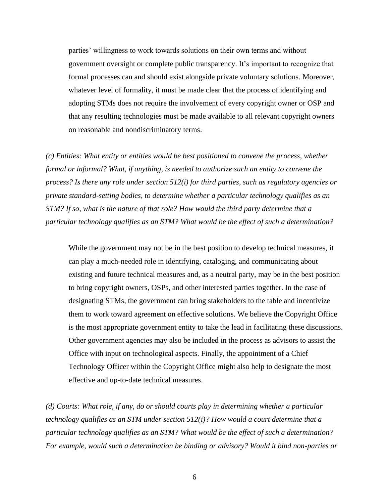parties' willingness to work towards solutions on their own terms and without government oversight or complete public transparency. It's important to recognize that formal processes can and should exist alongside private voluntary solutions. Moreover, whatever level of formality, it must be made clear that the process of identifying and adopting STMs does not require the involvement of every copyright owner or OSP and that any resulting technologies must be made available to all relevant copyright owners on reasonable and nondiscriminatory terms.

*(c) Entities: What entity or entities would be best positioned to convene the process, whether formal or informal? What, if anything, is needed to authorize such an entity to convene the process? Is there any role under section 512(i) for third parties, such as regulatory agencies or private standard-setting bodies, to determine whether a particular technology qualifies as an STM? If so, what is the nature of that role? How would the third party determine that a particular technology qualifies as an STM? What would be the effect of such a determination?*

While the government may not be in the best position to develop technical measures, it can play a much-needed role in identifying, cataloging, and communicating about existing and future technical measures and, as a neutral party, may be in the best position to bring copyright owners, OSPs, and other interested parties together. In the case of designating STMs, the government can bring stakeholders to the table and incentivize them to work toward agreement on effective solutions. We believe the Copyright Office is the most appropriate government entity to take the lead in facilitating these discussions. Other government agencies may also be included in the process as advisors to assist the Office with input on technological aspects. Finally, the appointment of a Chief Technology Officer within the Copyright Office might also help to designate the most effective and up-to-date technical measures.

*(d) Courts: What role, if any, do or should courts play in determining whether a particular technology qualifies as an STM under section 512(i)? How would a court determine that a particular technology qualifies as an STM? What would be the effect of such a determination? For example, would such a determination be binding or advisory? Would it bind non-parties or*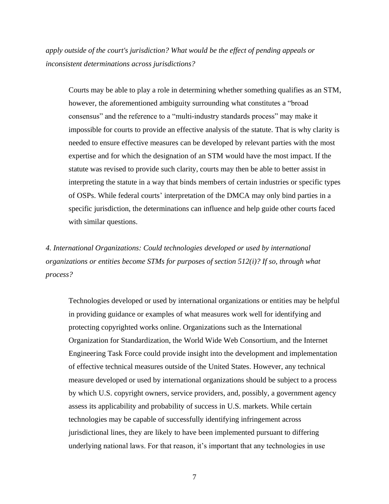*apply outside of the court's jurisdiction? What would be the effect of pending appeals or inconsistent determinations across jurisdictions?*

Courts may be able to play a role in determining whether something qualifies as an STM, however, the aforementioned ambiguity surrounding what constitutes a "broad consensus" and the reference to a "multi-industry standards process" may make it impossible for courts to provide an effective analysis of the statute. That is why clarity is needed to ensure effective measures can be developed by relevant parties with the most expertise and for which the designation of an STM would have the most impact. If the statute was revised to provide such clarity, courts may then be able to better assist in interpreting the statute in a way that binds members of certain industries or specific types of OSPs. While federal courts' interpretation of the DMCA may only bind parties in a specific jurisdiction, the determinations can influence and help guide other courts faced with similar questions.

*4. International Organizations: Could technologies developed or used by international organizations or entities become STMs for purposes of section 512(i)? If so, through what process?*

Technologies developed or used by international organizations or entities may be helpful in providing guidance or examples of what measures work well for identifying and protecting copyrighted works online. Organizations such as the International Organization for Standardization, the World Wide Web Consortium, and the Internet Engineering Task Force could provide insight into the development and implementation of effective technical measures outside of the United States. However, any technical measure developed or used by international organizations should be subject to a process by which U.S. copyright owners, service providers, and, possibly, a government agency assess its applicability and probability of success in U.S. markets. While certain technologies may be capable of successfully identifying infringement across jurisdictional lines, they are likely to have been implemented pursuant to differing underlying national laws. For that reason, it's important that any technologies in use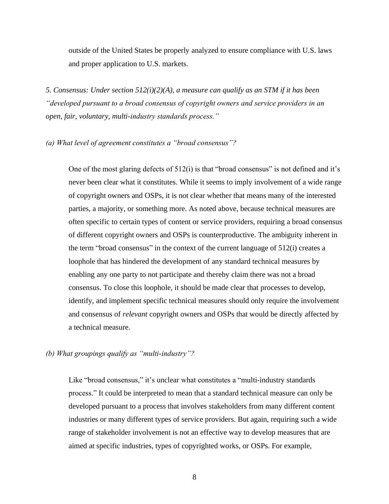outside of the United States be properly analyzed to ensure compliance with U.S. laws and proper application to U.S. markets.

*5. Consensus: Under section 512(i)(2)(A), a measure can qualify as an STM if it has been "developed pursuant to a broad consensus of copyright owners and service providers in an open, fair, voluntary, multi-industry standards process."*

#### *(a) What level of agreement constitutes a "broad consensus"?*

One of the most glaring defects of 512(i) is that "broad consensus" is not defined and it's never been clear what it constitutes. While it seems to imply involvement of a wide range of copyright owners and OSPs, it is not clear whether that means many of the interested parties, a majority, or something more. As noted above, because technical measures are often specific to certain types of content or service providers, requiring a broad consensus of different copyright owners and OSPs is counterproductive. The ambiguity inherent in the term "broad consensus" in the context of the current language of 512(i) creates a loophole that has hindered the development of any standard technical measures by enabling any one party to not participate and thereby claim there was not a broad consensus. To close this loophole, it should be made clear that processes to develop, identify, and implement specific technical measures should only require the involvement and consensus of *relevant* copyright owners and OSPs that would be directly affected by a technical measure.

## *(b) What groupings qualify as "multi-industry"?*

Like "broad consensus," it's unclear what constitutes a "multi-industry standards" process." It could be interpreted to mean that a standard technical measure can only be developed pursuant to a process that involves stakeholders from many different content industries or many different types of service providers. But again, requiring such a wide range of stakeholder involvement is not an effective way to develop measures that are aimed at specific industries, types of copyrighted works, or OSPs. For example,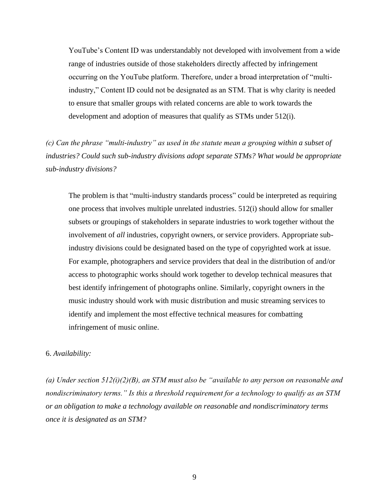YouTube's Content ID was understandably not developed with involvement from a wide range of industries outside of those stakeholders directly affected by infringement occurring on the YouTube platform. Therefore, under a broad interpretation of "multiindustry," Content ID could not be designated as an STM. That is why clarity is needed to ensure that smaller groups with related concerns are able to work towards the development and adoption of measures that qualify as STMs under 512(i).

*(c) Can the phrase "multi-industry" as used in the statute mean a grouping within a subset of industries? Could such sub-industry divisions adopt separate STMs? What would be appropriate sub-industry divisions?*

The problem is that "multi-industry standards process" could be interpreted as requiring one process that involves multiple unrelated industries. 512(i) should allow for smaller subsets or groupings of stakeholders in separate industries to work together without the involvement of *all* industries, copyright owners, or service providers. Appropriate subindustry divisions could be designated based on the type of copyrighted work at issue. For example, photographers and service providers that deal in the distribution of and/or access to photographic works should work together to develop technical measures that best identify infringement of photographs online. Similarly, copyright owners in the music industry should work with music distribution and music streaming services to identify and implement the most effective technical measures for combatting infringement of music online.

#### 6. *Availability:*

*(a) Under section 512(i)(2)(B), an STM must also be "available to any person on reasonable and nondiscriminatory terms." Is this a threshold requirement for a technology to qualify as an STM or an obligation to make a technology available on reasonable and nondiscriminatory terms once it is designated as an STM?*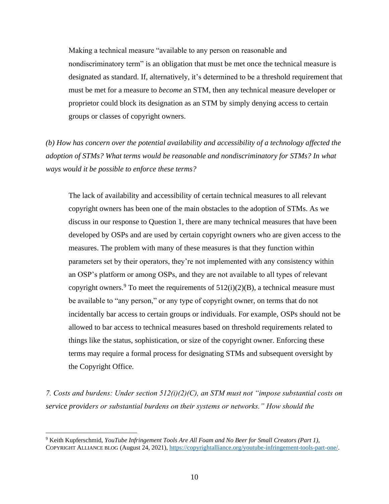Making a technical measure "available to any person on reasonable and nondiscriminatory term" is an obligation that must be met once the technical measure is designated as standard. If, alternatively, it's determined to be a threshold requirement that must be met for a measure to *become* an STM, then any technical measure developer or proprietor could block its designation as an STM by simply denying access to certain groups or classes of copyright owners.

*(b) How has concern over the potential availability and accessibility of a technology affected the adoption of STMs? What terms would be reasonable and nondiscriminatory for STMs? In what ways would it be possible to enforce these terms?*

The lack of availability and accessibility of certain technical measures to all relevant copyright owners has been one of the main obstacles to the adoption of STMs. As we discuss in our response to Question 1, there are many technical measures that have been developed by OSPs and are used by certain copyright owners who are given access to the measures. The problem with many of these measures is that they function within parameters set by their operators, they're not implemented with any consistency within an OSP's platform or among OSPs, and they are not available to all types of relevant copyright owners.<sup>9</sup> To meet the requirements of  $512(i)(2)(B)$ , a technical measure must be available to "any person," or any type of copyright owner, on terms that do not incidentally bar access to certain groups or individuals. For example, OSPs should not be allowed to bar access to technical measures based on threshold requirements related to things like the status, sophistication, or size of the copyright owner. Enforcing these terms may require a formal process for designating STMs and subsequent oversight by the Copyright Office.

*7. Costs and burdens: Under section 512(i)(2)(C), an STM must not "impose substantial costs on service providers or substantial burdens on their systems or networks." How should the* 

<sup>9</sup> Keith Kupferschmid, *YouTube Infringement Tools Are All Foam and No Beer for Small Creators (Part 1)*, COPYRIGHT ALLIANCE BLOG (August 24, 2021), [https://copyrightalliance.org/youtube-infringement-tools-part-one/.](https://copyrightalliance.org/youtube-infringement-tools-part-one/)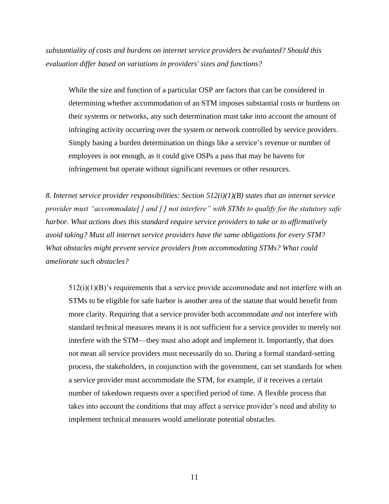*substantiality of costs and burdens on internet service providers be evaluated? Should this evaluation differ based on variations in providers' sizes and functions?*

While the size and function of a particular OSP are factors that can be considered in determining whether accommodation of an STM imposes substantial costs or burdens on their systems or networks, any such determination must take into account the amount of infringing activity occurring over the system or network controlled by service providers. Simply basing a burden determination on things like a service's revenue or number of employees is not enough, as it could give OSPs a pass that may be havens for infringement but operate without significant revenues or other resources.

*8. Internet service provider responsibilities: Section 512(i)(1)(B) states that an internet service provider must "accommodate[ ] and [ ] not interfere" with STMs to qualify for the statutory safe harbor. What actions does this standard require service providers to take or to affirmatively avoid taking? Must all internet service providers have the same obligations for every STM? What obstacles might prevent service providers from accommodating STMs? What could ameliorate such obstacles?*

 $512(i)(1)(B)$ 's requirements that a service provide accommodate and not interfere with an STMs to be eligible for safe harbor is another area of the statute that would benefit from more clarity. Requiring that a service provider both accommodate *and* not interfere with standard technical measures means it is not sufficient for a service provider to merely not interfere with the STM—they must also adopt and implement it. Importantly, that does not mean all service providers must necessarily do so. During a formal standard-setting process, the stakeholders, in conjunction with the government, can set standards for when a service provider must accommodate the STM, for example, if it receives a certain number of takedown requests over a specified period of time. A flexible process that takes into account the conditions that may affect a service provider's need and ability to implement technical measures would ameliorate potential obstacles.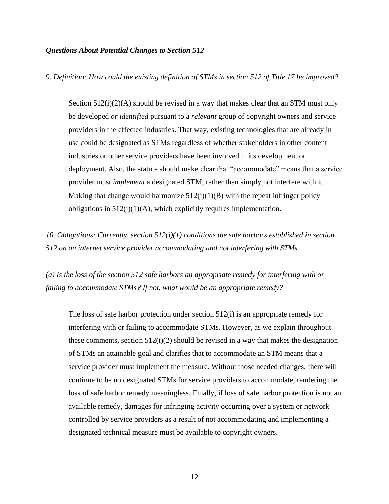#### *Questions About Potential Changes to Section 512*

*9. Definition: How could the existing definition of STMs in section 512 of Title 17 be improved?*

Section 512(i)(2)(A) should be revised in a way that makes clear that an STM must only be developed *or identified* pursuant to a *relevant* group of copyright owners and service providers in the effected industries. That way, existing technologies that are already in use could be designated as STMs regardless of whether stakeholders in other content industries or other service providers have been involved in its development or deployment. Also, the statute should make clear that "accommodate" means that a service provider must *implement* a designated STM, rather than simply not interfere with it. Making that change would harmonize  $512(i)(1)(B)$  with the repeat infringer policy obligations in 512(i)(1)(A), which explicitly requires implementation.

*10. Obligations: Currently, section 512(i)(1) conditions the safe harbors established in section 512 on an internet service provider accommodating and not interfering with STMs.* 

*(a) Is the loss of the section 512 safe harbors an appropriate remedy for interfering with or failing to accommodate STMs? If not, what would be an appropriate remedy?*

The loss of safe harbor protection under section 512(i) is an appropriate remedy for interfering with or failing to accommodate STMs. However, as we explain throughout these comments, section 512(i)(2) should be revised in a way that makes the designation of STMs an attainable goal and clarifies that to accommodate an STM means that a service provider must implement the measure. Without those needed changes, there will continue to be no designated STMs for service providers to accommodate, rendering the loss of safe harbor remedy meaningless. Finally, if loss of safe harbor protection is not an available remedy, damages for infringing activity occurring over a system or network controlled by service providers as a result of not accommodating and implementing a designated technical measure must be available to copyright owners.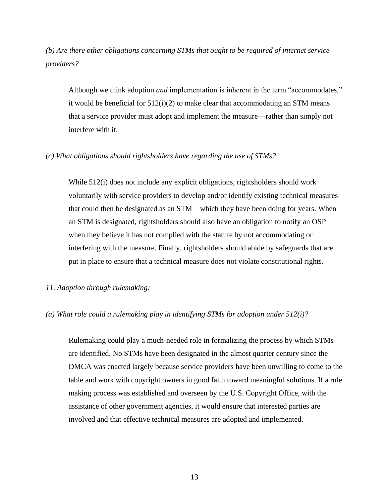*(b) Are there other obligations concerning STMs that ought to be required of internet service providers?*

Although we think adoption *and* implementation is inherent in the term "accommodates," it would be beneficial for 512(i)(2) to make clear that accommodating an STM means that a service provider must adopt and implement the measure—rather than simply not interfere with it.

#### *(c) What obligations should rightsholders have regarding the use of STMs?*

While 512(i) does not include any explicit obligations, rightsholders should work voluntarily with service providers to develop and/or identify existing technical measures that could then be designated as an STM—which they have been doing for years. When an STM is designated, rightsholders should also have an obligation to notify an OSP when they believe it has not complied with the statute by not accommodating or interfering with the measure. Finally, rightsholders should abide by safeguards that are put in place to ensure that a technical measure does not violate constitutional rights.

### *11. Adoption through rulemaking:*

#### *(a) What role could a rulemaking play in identifying STMs for adoption under 512(i)?*

Rulemaking could play a much-needed role in formalizing the process by which STMs are identified. No STMs have been designated in the almost quarter century since the DMCA was enacted largely because service providers have been unwilling to come to the table and work with copyright owners in good faith toward meaningful solutions. If a rule making process was established and overseen by the U.S. Copyright Office, with the assistance of other government agencies, it would ensure that interested parties are involved and that effective technical measures are adopted and implemented.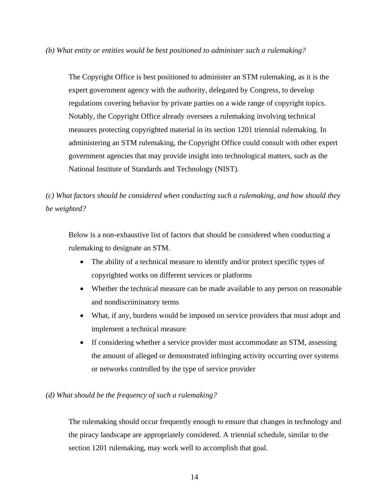*(b) What entity or entities would be best positioned to administer such a rulemaking?*

The Copyright Office is best positioned to administer an STM rulemaking, as it is the expert government agency with the authority, delegated by Congress, to develop regulations covering behavior by private parties on a wide range of copyright topics. Notably, the Copyright Office already oversees a rulemaking involving technical measures protecting copyrighted material in its section 1201 triennial rulemaking. In administering an STM rulemaking, the Copyright Office could consult with other expert government agencies that may provide insight into technological matters, such as the National Institute of Standards and Technology (NIST).

*(c) What factors should be considered when conducting such a rulemaking, and how should they be weighted?*

Below is a non-exhaustive list of factors that should be considered when conducting a rulemaking to designate an STM.

- The ability of a technical measure to identify and/or protect specific types of copyrighted works on different services or platforms
- Whether the technical measure can be made available to any person on reasonable and nondiscriminatory terms
- What, if any, burdens would be imposed on service providers that must adopt and implement a technical measure
- If considering whether a service provider must accommodate an STM, assessing the amount of alleged or demonstrated infringing activity occurring over systems or networks controlled by the type of service provider

# *(d) What should be the frequency of such a rulemaking?*

The rulemaking should occur frequently enough to ensure that changes in technology and the piracy landscape are appropriately considered. A triennial schedule, similar to the section 1201 rulemaking, may work well to accomplish that goal.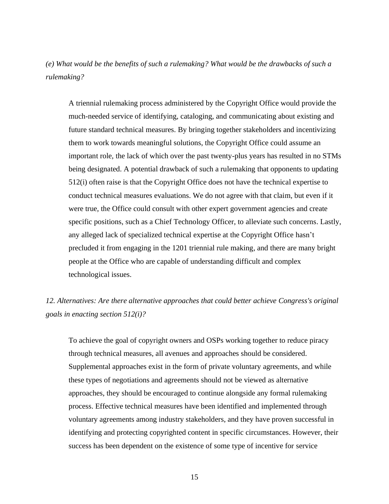*(e) What would be the benefits of such a rulemaking? What would be the drawbacks of such a rulemaking?*

A triennial rulemaking process administered by the Copyright Office would provide the much-needed service of identifying, cataloging, and communicating about existing and future standard technical measures. By bringing together stakeholders and incentivizing them to work towards meaningful solutions, the Copyright Office could assume an important role, the lack of which over the past twenty-plus years has resulted in no STMs being designated. A potential drawback of such a rulemaking that opponents to updating 512(i) often raise is that the Copyright Office does not have the technical expertise to conduct technical measures evaluations. We do not agree with that claim, but even if it were true, the Office could consult with other expert government agencies and create specific positions, such as a Chief Technology Officer, to alleviate such concerns. Lastly, any alleged lack of specialized technical expertise at the Copyright Office hasn't precluded it from engaging in the 1201 triennial rule making, and there are many bright people at the Office who are capable of understanding difficult and complex technological issues.

*12. Alternatives: Are there alternative approaches that could better achieve Congress's original goals in enacting section 512(i)?* 

To achieve the goal of copyright owners and OSPs working together to reduce piracy through technical measures, all avenues and approaches should be considered. Supplemental approaches exist in the form of private voluntary agreements, and while these types of negotiations and agreements should not be viewed as alternative approaches, they should be encouraged to continue alongside any formal rulemaking process. Effective technical measures have been identified and implemented through voluntary agreements among industry stakeholders, and they have proven successful in identifying and protecting copyrighted content in specific circumstances. However, their success has been dependent on the existence of some type of incentive for service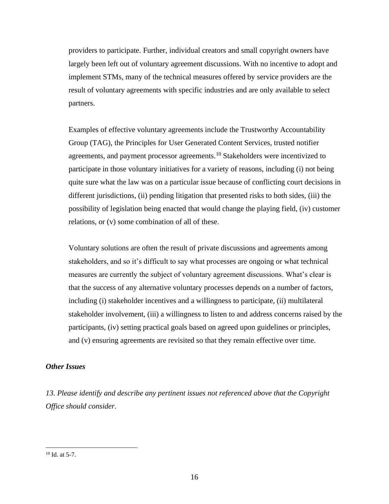providers to participate. Further, individual creators and small copyright owners have largely been left out of voluntary agreement discussions. With no incentive to adopt and implement STMs, many of the technical measures offered by service providers are the result of voluntary agreements with specific industries and are only available to select partners.

Examples of effective voluntary agreements include the Trustworthy Accountability Group (TAG), the Principles for User Generated Content Services, trusted notifier agreements, and payment processor agreements.<sup>10</sup> Stakeholders were incentivized to participate in those voluntary initiatives for a variety of reasons, including (i) not being quite sure what the law was on a particular issue because of conflicting court decisions in different jurisdictions, (ii) pending litigation that presented risks to both sides, (iii) the possibility of legislation being enacted that would change the playing field, (iv) customer relations, or (v) some combination of all of these.

Voluntary solutions are often the result of private discussions and agreements among stakeholders, and so it's difficult to say what processes are ongoing or what technical measures are currently the subject of voluntary agreement discussions. What's clear is that the success of any alternative voluntary processes depends on a number of factors, including (i) stakeholder incentives and a willingness to participate, (ii) multilateral stakeholder involvement, (iii) a willingness to listen to and address concerns raised by the participants, (iv) setting practical goals based on agreed upon guidelines or principles, and (v) ensuring agreements are revisited so that they remain effective over time.

### *Other Issues*

*13. Please identify and describe any pertinent issues not referenced above that the Copyright Office should consider.*

 $10$  Id. at 5-7.